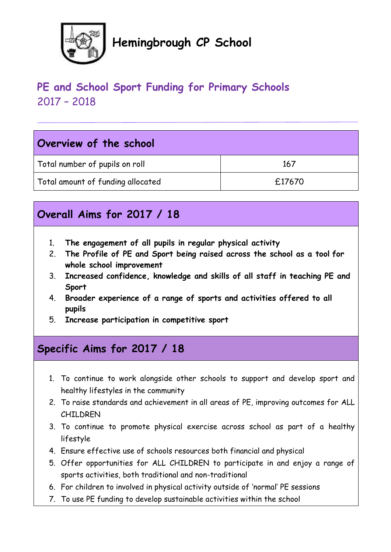

# **Hemingbrough CP School**

## **PE and School Sport Funding for Primary Schools** 2017 – 2018

|  | Overview of the school |  |  |  |  |
|--|------------------------|--|--|--|--|
|--|------------------------|--|--|--|--|

| Total number of pupils on roll    | 167    |
|-----------------------------------|--------|
| Total amount of funding allocated | £17670 |

## **Overall Aims for 2017 / 18**

- 1. **The engagement of all pupils in regular physical activity**
- 2. **The Profile of PE and Sport being raised across the school as a tool for whole school improvement**
- 3. **Increased confidence, knowledge and skills of all staff in teaching PE and Sport**
- 4. **Broader experience of a range of sports and activities offered to all pupils**
- 5. **Increase participation in competitive sport**

## **Specific Aims for 2017 / 18**

- 1. To continue to work alongside other schools to support and develop sport and healthy lifestyles in the community
- 2. To raise standards and achievement in all areas of PE, improving outcomes for ALL CHILDREN
- 3. To continue to promote physical exercise across school as part of a healthy lifestyle
- 4. Ensure effective use of schools resources both financial and physical
- 5. Offer opportunities for ALL CHILDREN to participate in and enjoy a range of sports activities, both traditional and non-traditional
- 6. For children to involved in physical activity outside of 'normal' PE sessions
- 7. To use PE funding to develop sustainable activities within the school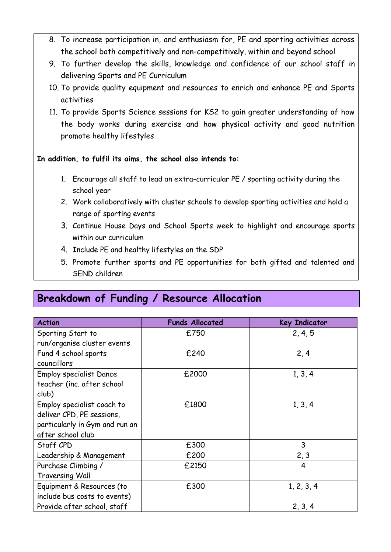- 8. To increase participation in, and enthusiasm for, PE and sporting activities across the school both competitively and non-competitively, within and beyond school
- 9. To further develop the skills, knowledge and confidence of our school staff in delivering Sports and PE Curriculum
- 10. To provide quality equipment and resources to enrich and enhance PE and Sports activities
- 11. To provide Sports Science sessions for KS2 to gain greater understanding of how the body works during exercise and how physical activity and good nutrition promote healthy lifestyles

#### **In addition, to fulfil its aims, the school also intends to:**

- 1. Encourage all staff to lead an extra-curricular PE / sporting activity during the school year
- 2. Work collaboratively with cluster schools to develop sporting activities and hold a range of sporting events
- 3. Continue House Days and School Sports week to highlight and encourage sports within our curriculum
- 4. Include PE and healthy lifestyles on the SDP
- 5. Promote further sports and PE opportunities for both gifted and talented and SEND children

### **Breakdown of Funding / Resource Allocation**

| <b>Action</b>                  | <b>Funds Allocated</b> | <b>Key Indicator</b> |
|--------------------------------|------------------------|----------------------|
| Sporting Start to              | £750                   | 2, 4, 5              |
| run/organise cluster events    |                        |                      |
| Fund 4 school sports           | £240                   | 2, 4                 |
| councillors                    |                        |                      |
| <b>Employ specialist Dance</b> | £2000                  | 1, 3, 4              |
| teacher (inc. after school     |                        |                      |
| club)                          |                        |                      |
| Employ specialist coach to     | £1800                  | 1, 3, 4              |
| deliver CPD, PE sessions,      |                        |                      |
| particularly in Gym and run an |                        |                      |
| after school club              |                        |                      |
| Staff CPD                      | £300                   | 3                    |
| Leadership & Management        | £200                   | 2, 3                 |
| Purchase Climbing /            | £2150                  | 4                    |
| <b>Traversing Wall</b>         |                        |                      |
| Equipment & Resources (to      | £300                   | 1, 2, 3, 4           |
| include bus costs to events)   |                        |                      |
| Provide after school, staff    |                        | 2, 3, 4              |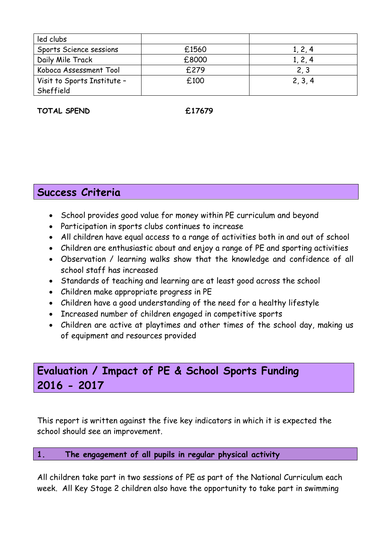| led clubs                   |       |         |
|-----------------------------|-------|---------|
| Sports Science sessions     | £1560 | 1, 2, 4 |
| Daily Mile Track            | £8000 | 1, 2, 4 |
| Koboca Assessment Tool      | £279  | 2, 3    |
| Visit to Sports Institute - | £100  | 2, 3, 4 |
| Sheffield                   |       |         |

**TOTAL SPEND £17679**

### **Success Criteria**

- School provides good value for money within PE curriculum and beyond
- Participation in sports clubs continues to increase
- All children have equal access to a range of activities both in and out of school
- Children are enthusiastic about and enjoy a range of PE and sporting activities
- Observation / learning walks show that the knowledge and confidence of all school staff has increased
- Standards of teaching and learning are at least good across the school
- Children make appropriate progress in PE
- Children have a good understanding of the need for a healthy lifestyle
- Increased number of children engaged in competitive sports
- Children are active at playtimes and other times of the school day, making us of equipment and resources provided

### **Evaluation / Impact of PE & School Sports Funding 2016 - 2017**

This report is written against the five key indicators in which it is expected the school should see an improvement.

#### **1. The engagement of all pupils in regular physical activity**

All children take part in two sessions of PE as part of the National Curriculum each week. All Key Stage 2 children also have the opportunity to take part in swimming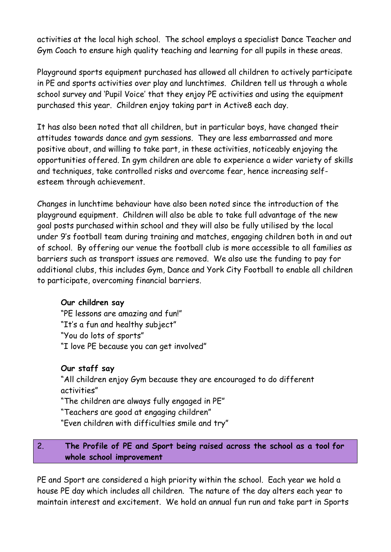activities at the local high school. The school employs a specialist Dance Teacher and Gym Coach to ensure high quality teaching and learning for all pupils in these areas.

Playground sports equipment purchased has allowed all children to actively participate in PE and sports activities over play and lunchtimes. Children tell us through a whole school survey and 'Pupil Voice' that they enjoy PE activities and using the equipment purchased this year. Children enjoy taking part in Active8 each day.

It has also been noted that all children, but in particular boys, have changed their attitudes towards dance and gym sessions. They are less embarrassed and more positive about, and willing to take part, in these activities, noticeably enjoying the opportunities offered. In gym children are able to experience a wider variety of skills and techniques, take controlled risks and overcome fear, hence increasing selfesteem through achievement.

Changes in lunchtime behaviour have also been noted since the introduction of the playground equipment. Children will also be able to take full advantage of the new goal posts purchased within school and they will also be fully utilised by the local under 9's football team during training and matches, engaging children both in and out of school. By offering our venue the football club is more accessible to all families as barriers such as transport issues are removed. We also use the funding to pay for additional clubs, this includes Gym, Dance and York City Football to enable all children to participate, overcoming financial barriers.

#### **Our children say**

"PE lessons are amazing and fun!" "It's a fun and healthy subject" "You do lots of sports" "I love PE because you can get involved"

#### **Our staff say**

"All children enjoy Gym because they are encouraged to do different activities"

"The children are always fully engaged in PE"

"Teachers are good at engaging children"

"Even children with difficulties smile and try"

#### 2. **The Profile of PE and Sport being raised across the school as a tool for whole school improvement**

PE and Sport are considered a high priority within the school. Each year we hold a house PE day which includes all children. The nature of the day alters each year to maintain interest and excitement. We hold an annual fun run and take part in Sports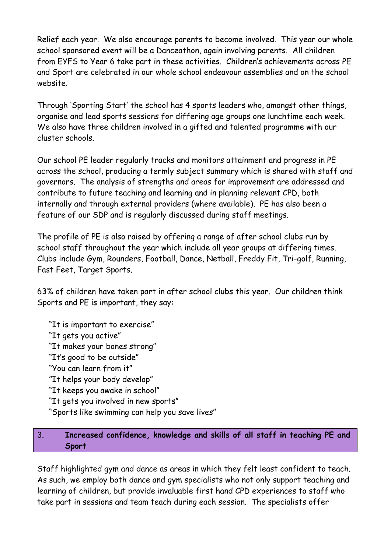Relief each year. We also encourage parents to become involved. This year our whole school sponsored event will be a Danceathon, again involving parents. All children from EYFS to Year 6 take part in these activities. Children's achievements across PE and Sport are celebrated in our whole school endeavour assemblies and on the school website.

Through 'Sporting Start' the school has 4 sports leaders who, amongst other things, organise and lead sports sessions for differing age groups one lunchtime each week. We also have three children involved in a gifted and talented programme with our cluster schools.

Our school PE leader regularly tracks and monitors attainment and progress in PE across the school, producing a termly subject summary which is shared with staff and governors. The analysis of strengths and areas for improvement are addressed and contribute to future teaching and learning and in planning relevant CPD, both internally and through external providers (where available). PE has also been a feature of our SDP and is regularly discussed during staff meetings.

The profile of PE is also raised by offering a range of after school clubs run by school staff throughout the year which include all year groups at differing times. Clubs include Gym, Rounders, Football, Dance, Netball, Freddy Fit, Tri-golf, Running, Fast Feet, Target Sports.

63% of children have taken part in after school clubs this year. Our children think Sports and PE is important, they say:

"It is important to exercise" "It gets you active" "It makes your bones strong" "It's good to be outside" "You can learn from it" "It helps your body develop" "It keeps you awake in school" "It gets you involved in new sports" "Sports like swimming can help you save lives"

#### 3. **Increased confidence, knowledge and skills of all staff in teaching PE and Sport**

Staff highlighted gym and dance as areas in which they felt least confident to teach. As such, we employ both dance and gym specialists who not only support teaching and learning of children, but provide invaluable first hand CPD experiences to staff who take part in sessions and team teach during each session. The specialists offer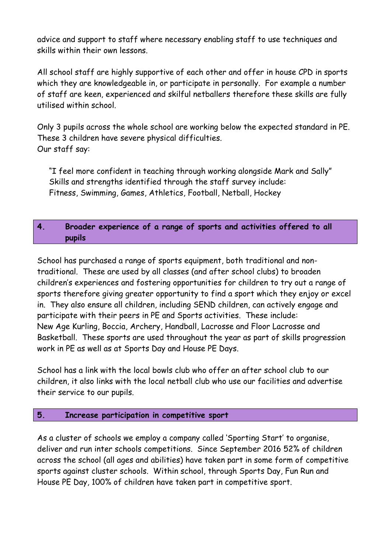advice and support to staff where necessary enabling staff to use techniques and skills within their own lessons.

All school staff are highly supportive of each other and offer in house CPD in sports which they are knowledgeable in, or participate in personally. For example a number of staff are keen, experienced and skilful netballers therefore these skills are fully utilised within school.

Only 3 pupils across the whole school are working below the expected standard in PE. These 3 children have severe physical difficulties. Our staff say:

"I feel more confident in teaching through working alongside Mark and Sally" Skills and strengths identified through the staff survey include: Fitness, Swimming, Games, Athletics, Football, Netball, Hockey

#### **4. Broader experience of a range of sports and activities offered to all pupils**

School has purchased a range of sports equipment, both traditional and nontraditional. These are used by all classes (and after school clubs) to broaden children's experiences and fostering opportunities for children to try out a range of sports therefore giving greater opportunity to find a sport which they enjoy or excel in. They also ensure all children, including SEND children, can actively engage and participate with their peers in PE and Sports activities. These include: New Age Kurling, Boccia, Archery, Handball, Lacrosse and Floor Lacrosse and Basketball. These sports are used throughout the year as part of skills progression work in PE as well as at Sports Day and House PE Days.

School has a link with the local bowls club who offer an after school club to our children, it also links with the local netball club who use our facilities and advertise their service to our pupils.

#### **5. Increase participation in competitive sport**

As a cluster of schools we employ a company called 'Sporting Start' to organise, deliver and run inter schools competitions. Since September 2016 52% of children across the school (all ages and abilities) have taken part in some form of competitive sports against cluster schools. Within school, through Sports Day, Fun Run and House PE Day, 100% of children have taken part in competitive sport.